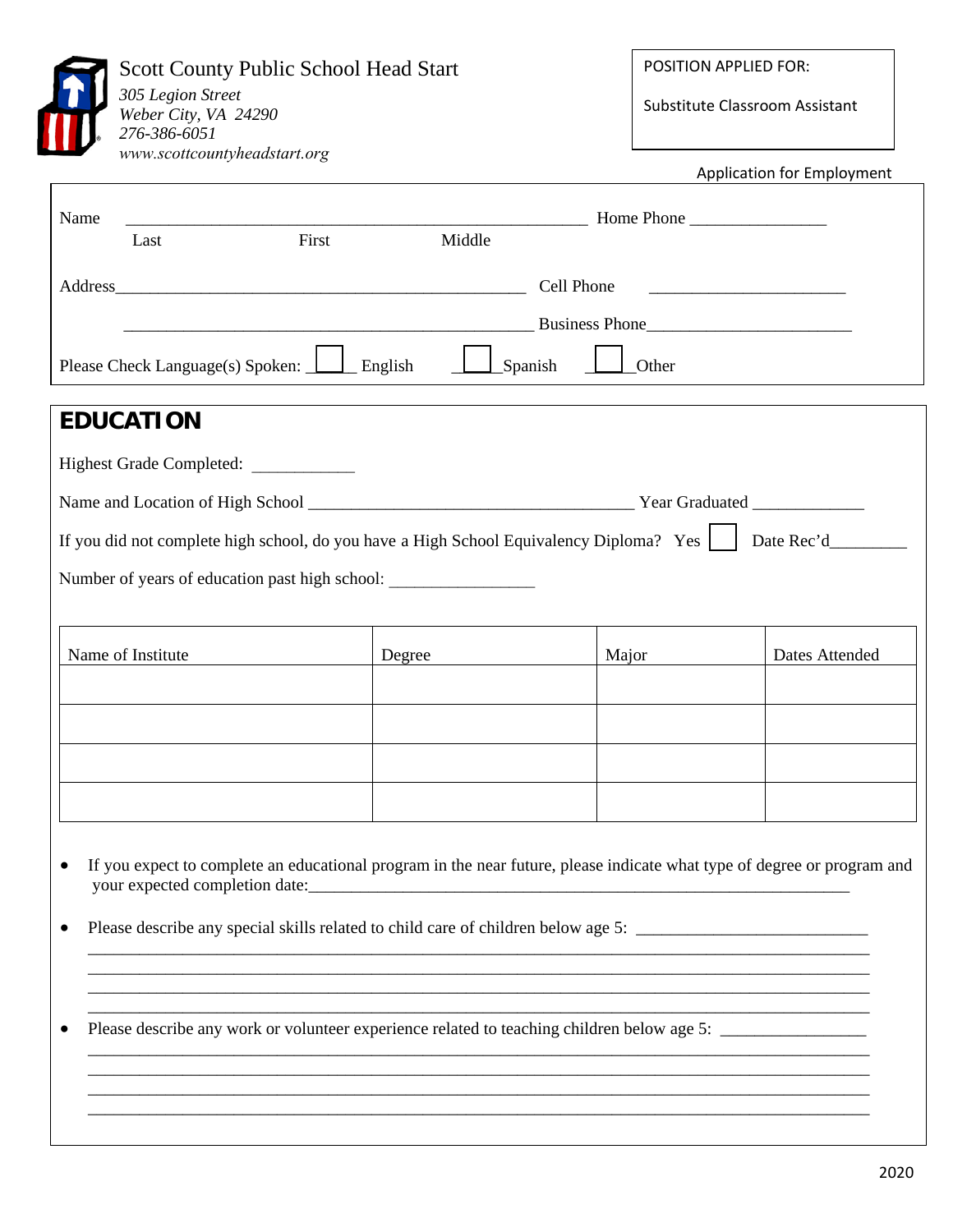| 305 Legion Street<br>Weber City, VA 24290<br>276-386-6051<br>www.scottcountyheadstart.org | <b>Scott County Public School Head Start</b>                                                                                                                                                                                       |              | POSITION APPLIED FOR:<br>Substitute Classroom Assistant                                                              |  |
|-------------------------------------------------------------------------------------------|------------------------------------------------------------------------------------------------------------------------------------------------------------------------------------------------------------------------------------|--------------|----------------------------------------------------------------------------------------------------------------------|--|
|                                                                                           |                                                                                                                                                                                                                                    |              | <b>Application for Employment</b>                                                                                    |  |
| Name<br>Last                                                                              | First<br>Middle                                                                                                                                                                                                                    |              |                                                                                                                      |  |
|                                                                                           |                                                                                                                                                                                                                                    |              | <u> Territoria de la contenentación de la contenentación de la contenentación de la contenentación de la contene</u> |  |
|                                                                                           | <b>Example 2008</b> Business Phone 2008 Phone 2008 Phone 2008 Phone 2008 Phone 2008 Phone 2008 Phone 2008 Phone 2008 Phone 2008 Phone 2008 Phone 2008 Phone 2008 Phone 2008 Phone 2008 Phone 2008 Phone 2008 Phone 2008 Phone 2008 |              |                                                                                                                      |  |
| Please Check Language(s) Spoken: $\boxed{\phantom{a}}$ English                            | $\Box$ Spanish                                                                                                                                                                                                                     | $\Box$ Other |                                                                                                                      |  |
| <b>EDUCATION</b>                                                                          |                                                                                                                                                                                                                                    |              |                                                                                                                      |  |
| Highest Grade Completed:                                                                  |                                                                                                                                                                                                                                    |              |                                                                                                                      |  |
|                                                                                           |                                                                                                                                                                                                                                    |              |                                                                                                                      |  |
| Name of Institute                                                                         | Degree                                                                                                                                                                                                                             | Major        | Dates Attended                                                                                                       |  |
|                                                                                           |                                                                                                                                                                                                                                    |              |                                                                                                                      |  |
|                                                                                           |                                                                                                                                                                                                                                    |              |                                                                                                                      |  |
|                                                                                           |                                                                                                                                                                                                                                    |              |                                                                                                                      |  |
|                                                                                           |                                                                                                                                                                                                                                    |              |                                                                                                                      |  |
|                                                                                           | If you expect to complete an educational program in the near future, please indicate what type of degree or program and                                                                                                            |              |                                                                                                                      |  |
|                                                                                           | Please describe any work or volunteer experience related to teaching children below age 5: ___________________                                                                                                                     |              |                                                                                                                      |  |